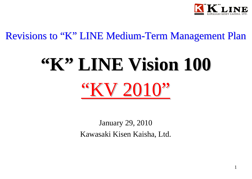

# Revisions to "K" LINE Medium-Term Management Plan

# **"K" LINE Vision LINE Vision 100** "KV 2010"

January 29, 2010 Kawasaki Kisen Kaisha, Ltd.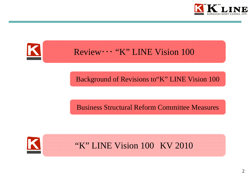



Background of Revisions to"K" LINE Vision 100

Business Structural Reform Committee Measures



"K" LINE Vision 100 KV 2010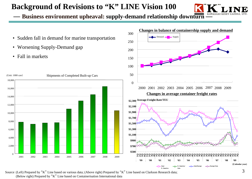# **Background of Revisions to "K" LINE Vision 100**



**Business environment upheaval: supply-demand relationship downturn** 

- Sudden fall in demand for marine transportation
- Worsening Supply-Demand gap
- Fall in markets



200

250

300

Demand

 $\Box$  Supply

**Changes in balance of containership supply and demand**

Source:(Left) Prepared by "K" Line based on various data; (Above right) Prepared by "K" Line based on Clarkson Research data; (Below right) Prepared by "K" Line based on Containerisation International data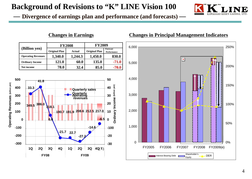## **Background of Revisions to "K" LINE Vision 100**



 **Divergence of earnings plan and performance (and forecasts) —**



#### **Changes in Earnings Changes in Principal Management Indicators**

0%

50%

100%

150%

200%

250%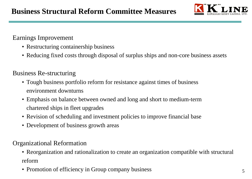

## Earnings Improvement

- Restructuring containership business
- Reducing fixed costs through disposal of surplus ships and non-core business assets

## Business Re-structuring

- Tough business portfolio reform for resistance against times of business environment downturns
- Emphasis on balance between owned and long and short to medium-term chartered ships in fleet upgrades
- Revision of scheduling and investment policies to improve financial base
- Development of business growth areas

## Organizational Reformation

- Reorganization and rationalization to create an organization compatible with structural reform
- Promotion of efficiency in Group company business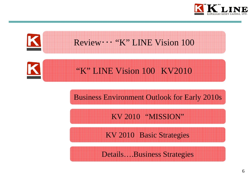

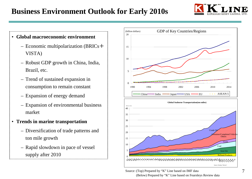# **Business Environment Outlook for Early 2010s**



#### • **Global macroeconomic environment**

- Economic multipolarization (BRICs + VISTA)
- Robust GDP growth in China, India, Brazil, etc.
- Trend of sustained expansion in consumption to remain constant
- Expansion of energy demand
- Expansion of environmental business market
- **Trends in marine transportation**
	- Diversification of trade patterns and ton mile growth
	- Rapid slowdown in pace of vessel supply after 2010



Source:(Top) Prepared by "K" Line based on IMF data (Below) Prepared by "K" Line based on Fearnleys Review data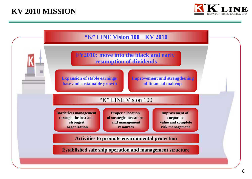# **KV 2010 MISSION**



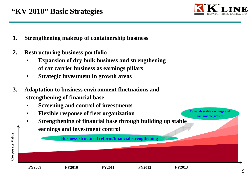

**Towards stable earnings and sustainable growth**

- **1. Strengthening makeup of containership business**
- **2. Restructuring business portfolio**
	- • **Expansion of dry bulk business and strengthening of car carrier business as earnings pillars**
	- •**Strategic investment in growth areas**
- **3. Adaptation to business environment fluctuations and strengthening of financial base**
	- •**Screening and control of investments**
	- •**Flexible response of fleet organization**
	- • **Strengthening of financial base through building up stable earnings and investment control**

**Business structural reform/financial strengthening**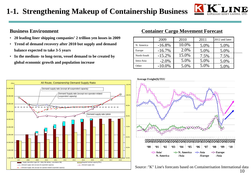# **1-1. Strengthening Makeup of Containership Business**



#### **Business Environment**

- **20 leading liner shipping companies' 2 trillion yen losses in 2009**
- **Trend of demand recovery after 2010 but supply and demand balance expected to take 3-5 years**
- **In the medium- to long-term, vessel demand to be created by global economic growth and population increase**

#### **Container Cargo Movement Forecast**

|             | 2009      | 2010  | 2011 | 2012 and later |  |
|-------------|-----------|-------|------|----------------|--|
| N. America  | $-16.8\%$ | 10.0% | 5.0% | 5.0%           |  |
| Europe      | $-16.7\%$ | 2.0%  | 5.0% | 5.0%           |  |
| North-South | $-15.2\%$ | 15.0% | 7.5% | 7.5%           |  |
| Intra-Asia  | $-2.0\%$  | 5.0%  | 5.0% | 5.0%           |  |
| Other       | $-10.0\%$ | 5.0%  | 5.0% | 5.0%           |  |







10Source:"K" Line's forecasts based on Containerisation International data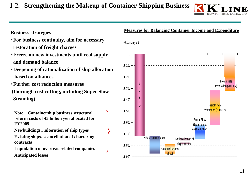## **1-2. Strengthening the Makeup of Container Shipping Business**



#### **Business strategies**

- ・**For business continuity, aim for necessary restoration of freight charges**
- ・**Freeze on new investments until real supply and demand balance**
- ・**Deepening of rationalization of ship allocation based on alliances**
- ・**Further cost reduction measures(thorough cost cutting, including Super Slow Steaming)**

**Note: Containership business structural reform costs of 43 billion yen allocated for FY2009**

**Newbuildings…alteration of ship types**

**Existing ships…cancellation of chartering contracts**

**Liquidation of overseas related companies Anticipated losses**



#### **Measures for Balancing Container Income and Expenditure**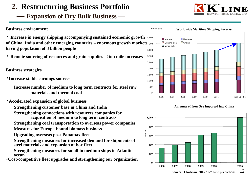## **Expansion of Dry Bulk Business —**

#### **Business environment**

**• Increase in energy shipping accompanying sustained economic growth** 4,600 **of China, India and other emerging countries – enormous growth markets**  4,100 **having population of 3 billion people**

・ **Remote sourcing of resources and grain supplies** ⇒**ton mile increases**

#### **Business strategies**

- ・**Increase stable earnings sources**
	- **Increase number of medium to long term contracts for steel raw materials and thermal coal**
- ・**Accelerated expansion of global business**
	- **Strengthening customer base in China and India**
	- **Strengthening connections with resources companies for acquisition of medium to long term contracts**
	- **Strengthening coal transportation to overseas power companies**
	- **Measures for Europe-bound biomass business**
	- **Upgrading overseas post-Panamax fleet**
	- **Strengthening measures for increased demand for shipments of steel materials and expansion of box fleet**
	- **Strengthening measures for small to medium ships in Atlantic ocean**
- ・**Cost-competitive fleet upgrades and strengthening our organization**







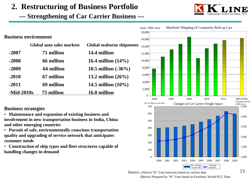**Strengthening of Car Carrier Business —**

|              | <b>Business environment</b> |                                           |
|--------------|-----------------------------|-------------------------------------------|
|              | Global auto sales markets   | Global seaborne shipments<br>14.4 million |
| $-2007$      | 71 million                  |                                           |
| $-2008$      | 66 million                  | 16.4 million $(14\%)$                     |
| $-2009$      | 64 million                  | 10.5 million $(-36%)$                     |
| $-2010$      | 67 million                  | 13.2 million $(26\%)$                     |
| $-2011$      | 69 million                  | 14.5 million $(10\%)$                     |
| $-Mid-2010s$ | 75 million                  | 16.0 million                              |

#### **Business strategies**

• **Maintenance and expansion of existing business and involvement in new transportation business in India, China and other emerging countries**

- **Pursuit of safe, environmentally conscious transportation quality and upgrading of service network that anticipates customer needs**
- **Construction of ship types and fleet structures capable of handling changes in demand**



Source: (Above) "K" Line forecasts based on various data (Below) Prepared by "K" Line based on Fearnleys World PCC Fleet

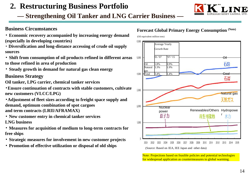**— Strengthening Oil Tanker and LNG Carrier Business —**

#### **Business Circumstances**

- ・ **Economic recovery accompanied by increasing energy demand (especially in developing countries)**
- ・ **Diversification and long-distance accessing of crude oil supply sources**
- ・ **Shift from consumption of oil products refined in different areas to those refined in area of production**
- ・ **Steady growth in demand for natural gas clean energy**

#### **Business Strategy**

**Oil tanker, LPG carrier, chemical tanker services**

・**Ensure continuation of contracts with stable customers, cultivate new customers (VLCC/LPG)**

・**Adjustment of fleet sizes according to freight space supply and demand, optimum combination of spot cargoes and term contracts (LRII/AFRAMAX)**

- ・ **New customer entry in chemical tanker services LNG business**
- ・ **Measures for acquisition of medium to long-term contracts for free ships**
- ・ **Strategic measures for involvement in new customer projects**
- ・ **Promotion of effective utilization or disposal of old ships**

#### **Forecast Global Primary Energy Consumption (Note)**

(Oil equivalent million tons)



Note: Projections based on feasible policies and potential technologies for widespread application as countermeasures to global warming.

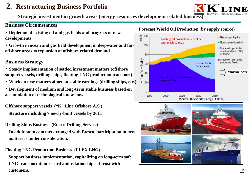

**— Strategic investment in growth areas (energy resources development related business) —**

#### **Business Circumstances**

・ **Depletion of existing oil and gas fields and progress of new developments**

・ **Growth in ocean and gas field development in deepwater and faroffshore areas** ⇒**expansion of offshore related demand**

#### **Business Strategy**

・ **Steady implementation of settled investment matters (offshore support vessels, drilling ships, floating LNG production transport)**

・ **Work on new matters aimed at stable earnings (drilling ships, etc.)**

**• Development of medium and long-term stable business based on accumulation of technological know-how**

**Offshore support vessels ("K" Line Offshore A.S.)**

**Structure including 7 newly-built vessels by 2011**

**Drilling Ships Business (Etesco Drilling Service)**

**In addition to contract arranged with Etesco, participation in new matters is under consideration.**

**Floating LNG Production Business (FLEX LNG)**

**Support business implementation, capitalizing on long-term safe LNG transportation record and relationships of trust with customers.**





#### **Forecast World Oil Production (by supply source)**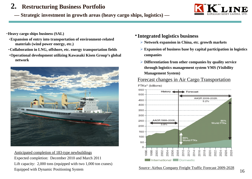**Strategic investment in growth areas (heavy cargo ships, logistics) —**



・**Heavy cargo ships business (SAL)**

- ・**Expansion of entry into transportation of environment-related materials (wind power energy, etc.)**
- ・**Collaboration in LNG, offshore, etc. energy transportation fields**
- ・**Operational development utilizing Kawasaki Kisen Group's global network**



Anticipated completion of 183-type newbuildings Expected completion: December 2010 and March 2011 Lift capacity: 2,000 tons (equipped with two 1,000 ton cranes) Equipped with Dynamic Positioning System

- ・**Integrated logistics business**
	- ¾ **Network expansion in China, etc. growth markets**
	- ¾ **Expansion of business base by capital participation in logistics companies**
	- ¾ **Differentiation from other companies by quality service through logistics management system VMS (Visibility Management System)**

#### Forecast changes in Air Cargo Transportation



Source:Airbus Company Freight Traffic Forecast 2009-2028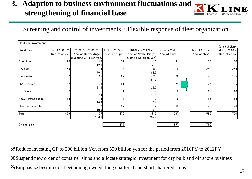# **3. Adaption to business environment fluctuations and strengthening of financial base**



ーScreening and control of investments ・ Flexible response of fleet organization ー

| Fleet and Investment |               |                           |                 |                           |               |               |                 |
|----------------------|---------------|---------------------------|-----------------|---------------------------|---------------|---------------|-----------------|
|                      |               |                           |                 |                           |               |               | (original plan) |
| <b>Fiscal Year</b>   | End of 2007FY | 2008FY~2009FY             | End of 2009FY   | 2010FY~2012FY             | End of 2012FY | Mid of 2010's | Mid of 2010's   |
|                      | Nos. of ships | Nos. of Newbuldings       | Nos. of ships   | Nos. of Newbuildings      | Nos. of ships | Nos. of ships | Nos. of ships   |
|                      |               | Investing CF(billion yen) |                 | Investing CF(billion yen) |               |               |                 |
| Container            | 99            | 19                        | 77              | 26                        | 81            | 75            | 150             |
|                      |               | 12.9                      |                 | 7.0                       |               |               |                 |
| Dry bulk             | 169           | 34                        | 173             | 59                        | 219           | 250           | 265             |
|                      |               | 76.1                      |                 | 83.9                      |               |               |                 |
| Car carrier          | 102           | 15                        | 67              | 20                        | 76            | 90            | 105             |
|                      |               | 21.6                      |                 | 25.2                      |               |               |                 |
| LNG/Tanker           | 62            | 23                        | 81              |                           | 74            | 75            | 136             |
|                      |               | 21.6                      |                 | 22.2                      |               |               |                 |
| Off Shore            | 0             |                           |                 |                           | 8             | 10            | 10 <sup>1</sup> |
|                      |               | 27.4                      |                 | 43.6                      |               |               |                 |
| Heavy lift/Logistics | 15            | 3                         | 14 <sub>1</sub> |                           | 16            | 16            | 14              |
|                      |               | 16.3                      |                 | 13.1                      |               |               |                 |
| Short sea and etc.   | 52            | 2                         | 57              |                           | 63            | 70            | 70              |
|                      |               | 10.9                      |                 | 7.9                       |               |               |                 |
| Total                | 499           | 97                        | 470             | 119                       | 537           | 586           | 750             |
|                      |               | 186,7                     |                 | 202.9                     |               |               |                 |
|                      |               |                           |                 |                           |               |               |                 |
| Original plan        |               |                           | 573             |                           | 677           | 750           |                 |
|                      |               |                           |                 |                           |               |               |                 |

※Reduce investing CF to 200 billion Yen from 550 billion yen for the period from 2010FY to 2012FY ※Suspend new order of container ships and allocate strategic investment for dry bulk and off shore business ※Emphasize best mix of fleet among owned, long chartered and short chartered ships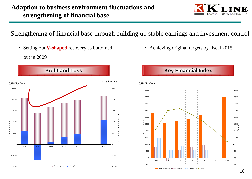

Strengthening of financial base through building up stable earnings and investment control

• Setting out **V-shaped** recovery as bottomed out in 2009



• Achieving original targets by fiscal 2015

### **Key Financial Index**

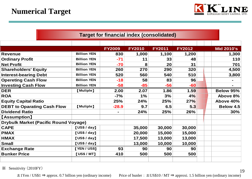

|                                              | <b>Target for financial index (consolidated)</b> |                |               |               |               |  |                          |  |
|----------------------------------------------|--------------------------------------------------|----------------|---------------|---------------|---------------|--|--------------------------|--|
|                                              |                                                  |                |               |               |               |  |                          |  |
|                                              |                                                  | <b>FY2009</b>  | <b>FY2010</b> | <b>FY2011</b> | <b>FY2012</b> |  | <b>Mid 2010's</b>        |  |
| <b>Revenue</b>                               | <b>Billion YEN</b>                               | 830            | 1,000         | 1,100         | 1,200         |  | 1,300                    |  |
| <b>Ordinary Profit</b>                       | <b>Billion YEN</b>                               | $-71$          | 11            | 33            | 48            |  | 110                      |  |
| <b>Net Profit</b>                            | <b>Billion YEN</b>                               | $-70$          | 8             | 20            | 31            |  | 701                      |  |
| <b>Shareholders' Equity</b>                  | <b>Billion YEN</b>                               | 260            | 270           | 290           | 320           |  | 4,500                    |  |
| <b>Interest-bearing Debt</b>                 | <b>Billion YEN</b>                               | 520            | 560           | 540           | 510           |  | 3,800                    |  |
| <b>Opereting Cash Flow</b>                   | <b>Billion YEN</b>                               | $-18$          | 58            | 83            | 96            |  | $\overline{\phantom{0}}$ |  |
| <b>Investing Cash Flow</b>                   | <b>Billion YEN</b>                               | $-58$          | $-85$         | $-56$         | $-60$         |  | Ξ.                       |  |
| <b>DER</b>                                   | [Muliple]                                        | 2.00           | 2.07          | 1.86          | 1.59          |  | <b>Below 95%</b>         |  |
| <b>ROA</b>                                   |                                                  | $-7%$          | 1%            | 3%            | 4%            |  | Above 8%                 |  |
| <b>Equity Capital Ratio</b>                  |                                                  | 25%            | 24%           | 25%           | 27%           |  | Above 40%                |  |
| <b>DEBT to Oparating Cash Flow</b>           | [Muliple]                                        | $-28.9$        | 9.7           | 6.5           | 5.3           |  | <b>Below 4.5</b>         |  |
| <b>Dividend Ratio</b>                        |                                                  | $\blacksquare$ | 24%           | 25%           | 26%           |  | 30%                      |  |
| <b>【Assumption】</b>                          |                                                  |                |               |               |               |  |                          |  |
| <b>Drybulk Market (Pacific Round Voyage)</b> |                                                  |                |               |               |               |  |                          |  |
| <b>CAPE</b>                                  | [US\$/day]                                       |                | 35,000        | 30,000        | 30,000        |  |                          |  |
| <b>PMAX</b>                                  | [US\$/day]                                       |                | 20,000        | 15,000        | 15,000        |  |                          |  |
| <b>HMAX</b>                                  | [US\$/day]                                       |                | 17,500        | 13,000        | 13,000        |  |                          |  |
| <b>Small</b>                                 | [US\$/day]                                       |                | 13,000        | 10,000        | 10,000        |  |                          |  |
| <b>Exchange Rate</b>                         | [YEN / US\$]                                     | 93             | 90            | 90            | 90            |  |                          |  |
| <b>Bunker Price</b>                          | [US\$/MT]                                        | 410            | 500           | 500           | 500           |  |                          |  |
|                                              |                                                  |                |               |               |               |  |                          |  |

※ Sensitivity (2010FY)

<sup>±</sup>1Yen / US\$1 <sup>⇒</sup> approx. 0.7 billion yen (ordinary income) Price of bunler : <sup>±</sup>US\$10 / MT <sup>⇒</sup> approxi. 1.5 billion yen (ordinary income)